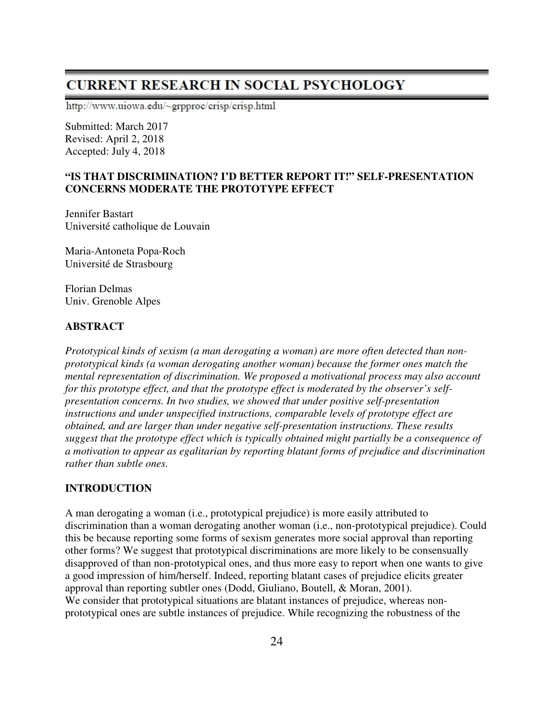# **CURRENT RESEARCH IN SOCIAL PSYCHOLOGY**

http://www.uiowa.edu/~grpproc/crisp/crisp.html

Submitted: March 2017 Revised: April 2, 2018 Accepted: July 4, 2018

# **"IS THAT DISCRIMINATION? I'D BETTER REPORT IT!" SELF-PRESENTATION CONCERNS MODERATE THE PROTOTYPE EFFECT**

Jennifer Bastart Université catholique de Louvain

Maria-Antoneta Popa-Roch Université de Strasbourg

Florian Delmas Univ. Grenoble Alpes

#### **ABSTRACT**

*Prototypical kinds of sexism (a man derogating a woman) are more often detected than nonprototypical kinds (a woman derogating another woman) because the former ones match the mental representation of discrimination. We proposed a motivational process may also account for this prototype effect, and that the prototype effect is moderated by the observer's selfpresentation concerns. In two studies, we showed that under positive self-presentation instructions and under unspecified instructions, comparable levels of prototype effect are obtained, and are larger than under negative self-presentation instructions. These results suggest that the prototype effect which is typically obtained might partially be a consequence of a motivation to appear as egalitarian by reporting blatant forms of prejudice and discrimination rather than subtle ones.* 

# **INTRODUCTION**

A man derogating a woman (i.e., prototypical prejudice) is more easily attributed to discrimination than a woman derogating another woman (i.e., non-prototypical prejudice). Could this be because reporting some forms of sexism generates more social approval than reporting other forms? We suggest that prototypical discriminations are more likely to be consensually disapproved of than non-prototypical ones, and thus more easy to report when one wants to give a good impression of him/herself. Indeed, reporting blatant cases of prejudice elicits greater approval than reporting subtler ones (Dodd, Giuliano, Boutell, & Moran, 2001). We consider that prototypical situations are blatant instances of prejudice, whereas nonprototypical ones are subtle instances of prejudice. While recognizing the robustness of the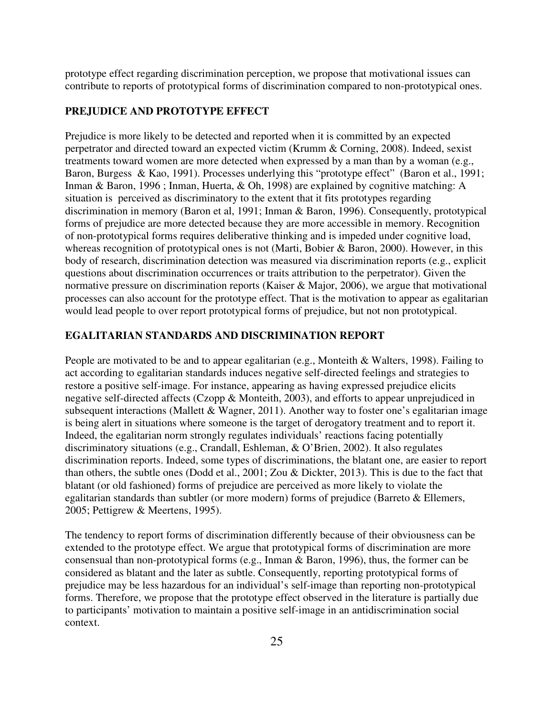prototype effect regarding discrimination perception, we propose that motivational issues can contribute to reports of prototypical forms of discrimination compared to non-prototypical ones.

# **PREJUDICE AND PROTOTYPE EFFECT**

Prejudice is more likely to be detected and reported when it is committed by an expected perpetrator and directed toward an expected victim (Krumm & Corning, 2008). Indeed, sexist treatments toward women are more detected when expressed by a man than by a woman (e.g., Baron, Burgess & Kao, 1991). Processes underlying this "prototype effect" (Baron et al., 1991; Inman & Baron, 1996; Inman, Huerta, & Oh, 1998) are explained by cognitive matching: A situation is perceived as discriminatory to the extent that it fits prototypes regarding discrimination in memory (Baron et al, 1991; Inman & Baron, 1996). Consequently, prototypical forms of prejudice are more detected because they are more accessible in memory. Recognition of non-prototypical forms requires deliberative thinking and is impeded under cognitive load, whereas recognition of prototypical ones is not (Marti, Bobier & Baron, 2000). However, in this body of research, discrimination detection was measured via discrimination reports (e.g., explicit questions about discrimination occurrences or traits attribution to the perpetrator). Given the normative pressure on discrimination reports (Kaiser & Major, 2006), we argue that motivational processes can also account for the prototype effect. That is the motivation to appear as egalitarian would lead people to over report prototypical forms of prejudice, but not non prototypical.

# **EGALITARIAN STANDARDS AND DISCRIMINATION REPORT**

People are motivated to be and to appear egalitarian (e.g., Monteith & Walters, 1998). Failing to act according to egalitarian standards induces negative self-directed feelings and strategies to restore a positive self-image. For instance, appearing as having expressed prejudice elicits negative self-directed affects (Czopp & Monteith, 2003), and efforts to appear unprejudiced in subsequent interactions (Mallett & Wagner, 2011). Another way to foster one's egalitarian image is being alert in situations where someone is the target of derogatory treatment and to report it. Indeed, the egalitarian norm strongly regulates individuals' reactions facing potentially discriminatory situations (e.g., Crandall, Eshleman, & O'Brien, 2002). It also regulates discrimination reports. Indeed, some types of discriminations, the blatant one, are easier to report than others, the subtle ones (Dodd et al., 2001; Zou & Dickter, 2013). This is due to the fact that blatant (or old fashioned) forms of prejudice are perceived as more likely to violate the egalitarian standards than subtler (or more modern) forms of prejudice (Barreto & Ellemers, 2005; Pettigrew & Meertens, 1995).

The tendency to report forms of discrimination differently because of their obviousness can be extended to the prototype effect. We argue that prototypical forms of discrimination are more consensual than non-prototypical forms (e.g., Inman & Baron, 1996), thus, the former can be considered as blatant and the later as subtle. Consequently, reporting prototypical forms of prejudice may be less hazardous for an individual's self-image than reporting non-prototypical forms. Therefore, we propose that the prototype effect observed in the literature is partially due to participants' motivation to maintain a positive self-image in an antidiscrimination social context.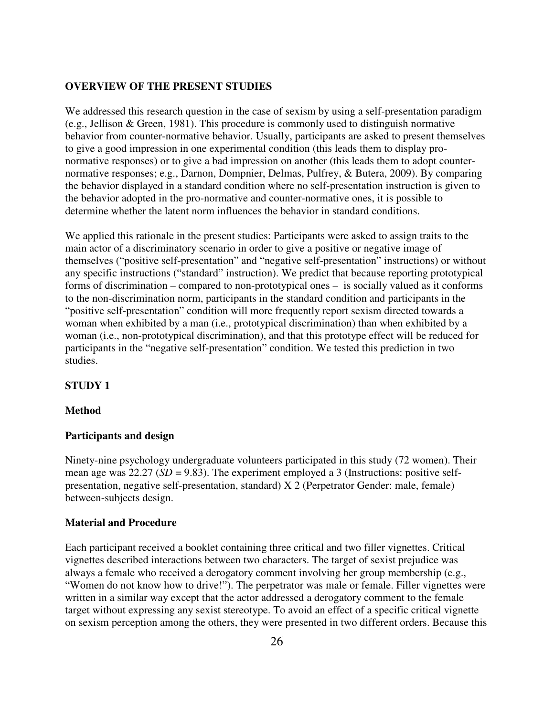# **OVERVIEW OF THE PRESENT STUDIES**

We addressed this research question in the case of sexism by using a self-presentation paradigm (e.g., Jellison & Green, 1981). This procedure is commonly used to distinguish normative behavior from counter-normative behavior. Usually, participants are asked to present themselves to give a good impression in one experimental condition (this leads them to display pronormative responses) or to give a bad impression on another (this leads them to adopt counternormative responses; e.g., Darnon, Dompnier, Delmas, Pulfrey, & Butera, 2009). By comparing the behavior displayed in a standard condition where no self-presentation instruction is given to the behavior adopted in the pro-normative and counter-normative ones, it is possible to determine whether the latent norm influences the behavior in standard conditions.

We applied this rationale in the present studies: Participants were asked to assign traits to the main actor of a discriminatory scenario in order to give a positive or negative image of themselves ("positive self-presentation" and "negative self-presentation" instructions) or without any specific instructions ("standard" instruction). We predict that because reporting prototypical forms of discrimination – compared to non-prototypical ones – is socially valued as it conforms to the non-discrimination norm, participants in the standard condition and participants in the "positive self-presentation" condition will more frequently report sexism directed towards a woman when exhibited by a man (i.e., prototypical discrimination) than when exhibited by a woman (i.e., non-prototypical discrimination), and that this prototype effect will be reduced for participants in the "negative self-presentation" condition. We tested this prediction in two studies.

### **STUDY 1**

#### **Method**

#### **Participants and design**

Ninety-nine psychology undergraduate volunteers participated in this study (72 women). Their mean age was 22.27 (*SD* = 9.83). The experiment employed a 3 (Instructions: positive selfpresentation, negative self-presentation, standard) X 2 (Perpetrator Gender: male, female) between-subjects design.

#### **Material and Procedure**

Each participant received a booklet containing three critical and two filler vignettes. Critical vignettes described interactions between two characters. The target of sexist prejudice was always a female who received a derogatory comment involving her group membership (e.g., "Women do not know how to drive!"). The perpetrator was male or female. Filler vignettes were written in a similar way except that the actor addressed a derogatory comment to the female target without expressing any sexist stereotype. To avoid an effect of a specific critical vignette on sexism perception among the others, they were presented in two different orders. Because this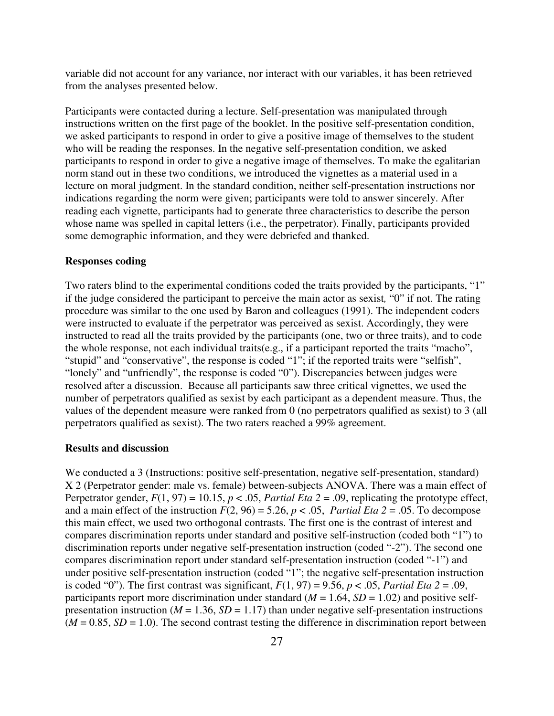variable did not account for any variance, nor interact with our variables, it has been retrieved from the analyses presented below.

Participants were contacted during a lecture. Self-presentation was manipulated through instructions written on the first page of the booklet. In the positive self-presentation condition, we asked participants to respond in order to give a positive image of themselves to the student who will be reading the responses. In the negative self-presentation condition, we asked participants to respond in order to give a negative image of themselves. To make the egalitarian norm stand out in these two conditions, we introduced the vignettes as a material used in a lecture on moral judgment. In the standard condition, neither self-presentation instructions nor indications regarding the norm were given; participants were told to answer sincerely. After reading each vignette, participants had to generate three characteristics to describe the person whose name was spelled in capital letters (i.e., the perpetrator). Finally, participants provided some demographic information, and they were debriefed and thanked.

#### **Responses coding**

Two raters blind to the experimental conditions coded the traits provided by the participants, "1" if the judge considered the participant to perceive the main actor as sexist*,* "0" if not. The rating procedure was similar to the one used by Baron and colleagues (1991). The independent coders were instructed to evaluate if the perpetrator was perceived as sexist. Accordingly, they were instructed to read all the traits provided by the participants (one, two or three traits), and to code the whole response, not each individual traits(e.g., if a participant reported the traits "macho", "stupid" and "conservative", the response is coded "1"; if the reported traits were "selfish", "lonely" and "unfriendly", the response is coded "0"). Discrepancies between judges were resolved after a discussion. Because all participants saw three critical vignettes, we used the number of perpetrators qualified as sexist by each participant as a dependent measure. Thus, the values of the dependent measure were ranked from 0 (no perpetrators qualified as sexist) to 3 (all perpetrators qualified as sexist). The two raters reached a 99% agreement.

# **Results and discussion**

We conducted a 3 (Instructions: positive self-presentation, negative self-presentation, standard) X 2 (Perpetrator gender: male vs. female) between-subjects ANOVA. There was a main effect of Perpetrator gender,  $F(1, 97) = 10.15$ ,  $p < .05$ , *Partial Eta* 2 = .09, replicating the prototype effect, and a main effect of the instruction  $F(2, 96) = 5.26$ ,  $p < .05$ , *Partial Eta*  $2 = .05$ . To decompose this main effect, we used two orthogonal contrasts. The first one is the contrast of interest and compares discrimination reports under standard and positive self-instruction (coded both "1") to discrimination reports under negative self-presentation instruction (coded "-2"). The second one compares discrimination report under standard self-presentation instruction (coded "-1") and under positive self-presentation instruction (coded "1"; the negative self-presentation instruction is coded "0"). The first contrast was significant,  $F(1, 97) = 9.56$ ,  $p < .05$ , *Partial Eta* 2 = .09, participants report more discrimination under standard ( $M = 1.64$ ,  $SD = 1.02$ ) and positive selfpresentation instruction ( $M = 1.36$ ,  $SD = 1.17$ ) than under negative self-presentation instructions  $(M = 0.85, SD = 1.0)$ . The second contrast testing the difference in discrimination report between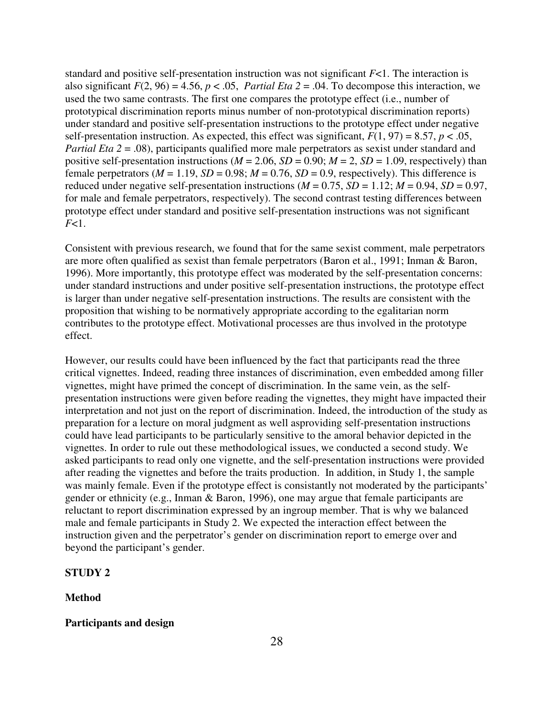standard and positive self-presentation instruction was not significant *F*<1. The interaction is also significant  $F(2, 96) = 4.56$ ,  $p < .05$ , *Partial Eta*  $2 = .04$ . To decompose this interaction, we used the two same contrasts. The first one compares the prototype effect (i.e., number of prototypical discrimination reports minus number of non-prototypical discrimination reports) under standard and positive self-presentation instructions to the prototype effect under negative self-presentation instruction. As expected, this effect was significant,  $F(1, 97) = 8.57$ ,  $p < .05$ , *Partial Eta 2* = .08), participants qualified more male perpetrators as sexist under standard and positive self-presentation instructions ( $M = 2.06$ ,  $SD = 0.90$ ;  $M = 2$ ,  $SD = 1.09$ , respectively) than female perpetrators ( $M = 1.19$ ,  $SD = 0.98$ ;  $M = 0.76$ ,  $SD = 0.9$ , respectively). This difference is reduced under negative self-presentation instructions  $(M = 0.75, SD = 1.12; M = 0.94, SD = 0.97$ , for male and female perpetrators, respectively). The second contrast testing differences between prototype effect under standard and positive self-presentation instructions was not significant *F*<1.

Consistent with previous research, we found that for the same sexist comment, male perpetrators are more often qualified as sexist than female perpetrators (Baron et al., 1991; Inman & Baron, 1996). More importantly, this prototype effect was moderated by the self-presentation concerns: under standard instructions and under positive self-presentation instructions, the prototype effect is larger than under negative self-presentation instructions. The results are consistent with the proposition that wishing to be normatively appropriate according to the egalitarian norm contributes to the prototype effect. Motivational processes are thus involved in the prototype effect.

However, our results could have been influenced by the fact that participants read the three critical vignettes. Indeed, reading three instances of discrimination, even embedded among filler vignettes, might have primed the concept of discrimination. In the same vein, as the selfpresentation instructions were given before reading the vignettes, they might have impacted their interpretation and not just on the report of discrimination. Indeed, the introduction of the study as preparation for a lecture on moral judgment as well asproviding self-presentation instructions could have lead participants to be particularly sensitive to the amoral behavior depicted in the vignettes. In order to rule out these methodological issues, we conducted a second study. We asked participants to read only one vignette, and the self-presentation instructions were provided after reading the vignettes and before the traits production. In addition, in Study 1, the sample was mainly female. Even if the prototype effect is consistantly not moderated by the participants' gender or ethnicity (e.g., Inman & Baron, 1996), one may argue that female participants are reluctant to report discrimination expressed by an ingroup member. That is why we balanced male and female participants in Study 2. We expected the interaction effect between the instruction given and the perpetrator's gender on discrimination report to emerge over and beyond the participant's gender.

# **STUDY 2**

#### **Method**

# **Participants and design**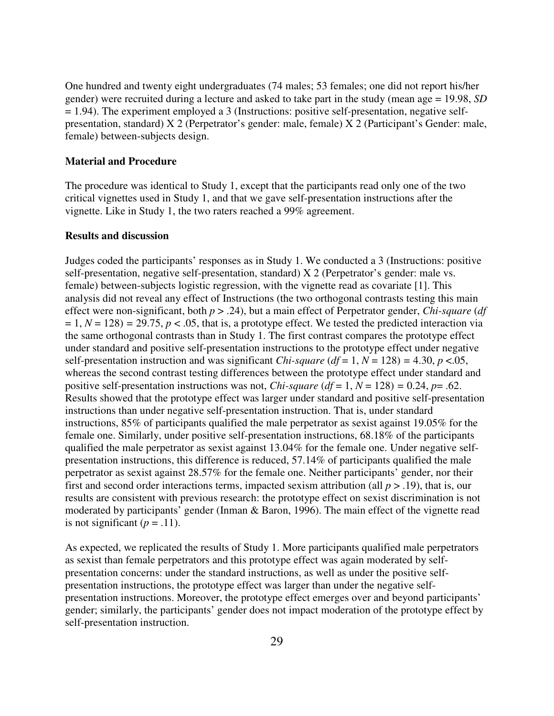One hundred and twenty eight undergraduates (74 males; 53 females; one did not report his/her gender) were recruited during a lecture and asked to take part in the study (mean age = 19.98, *SD*  $= 1.94$ ). The experiment employed a 3 (Instructions: positive self-presentation, negative selfpresentation, standard) X 2 (Perpetrator's gender: male, female) X 2 (Participant's Gender: male, female) between-subjects design.

#### **Material and Procedure**

The procedure was identical to Study 1, except that the participants read only one of the two critical vignettes used in Study 1, and that we gave self-presentation instructions after the vignette. Like in Study 1, the two raters reached a 99% agreement.

# **Results and discussion**

Judges coded the participants' responses as in Study 1. We conducted a 3 (Instructions: positive self-presentation, negative self-presentation, standard) X 2 (Perpetrator's gender: male vs. female) between-subjects logistic regression, with the vignette read as covariate [1]. This analysis did not reveal any effect of Instructions (the two orthogonal contrasts testing this main effect were non-significant, both *p* > .24), but a main effect of Perpetrator gender, *Chi-square* (*df*   $= 1, N = 128$ ) = 29.75,  $p < .05$ , that is, a prototype effect. We tested the predicted interaction via the same orthogonal contrasts than in Study 1. The first contrast compares the prototype effect under standard and positive self-presentation instructions to the prototype effect under negative self-presentation instruction and was significant *Chi-square*  $(df = 1, N = 128) = 4.30, p < .05,$ whereas the second contrast testing differences between the prototype effect under standard and positive self-presentation instructions was not, *Chi-square*  $(df = 1, N = 128) = 0.24, p = .62$ . Results showed that the prototype effect was larger under standard and positive self-presentation instructions than under negative self-presentation instruction. That is, under standard instructions, 85% of participants qualified the male perpetrator as sexist against 19.05% for the female one. Similarly, under positive self-presentation instructions, 68.18% of the participants qualified the male perpetrator as sexist against 13.04% for the female one. Under negative selfpresentation instructions, this difference is reduced, 57.14% of participants qualified the male perpetrator as sexist against 28.57% for the female one. Neither participants' gender, nor their first and second order interactions terms, impacted sexism attribution (all  $p > .19$ ), that is, our results are consistent with previous research: the prototype effect on sexist discrimination is not moderated by participants' gender (Inman & Baron, 1996). The main effect of the vignette read is not significant  $(p = .11)$ .

As expected, we replicated the results of Study 1. More participants qualified male perpetrators as sexist than female perpetrators and this prototype effect was again moderated by selfpresentation concerns: under the standard instructions, as well as under the positive selfpresentation instructions, the prototype effect was larger than under the negative selfpresentation instructions. Moreover, the prototype effect emerges over and beyond participants' gender; similarly, the participants' gender does not impact moderation of the prototype effect by self-presentation instruction.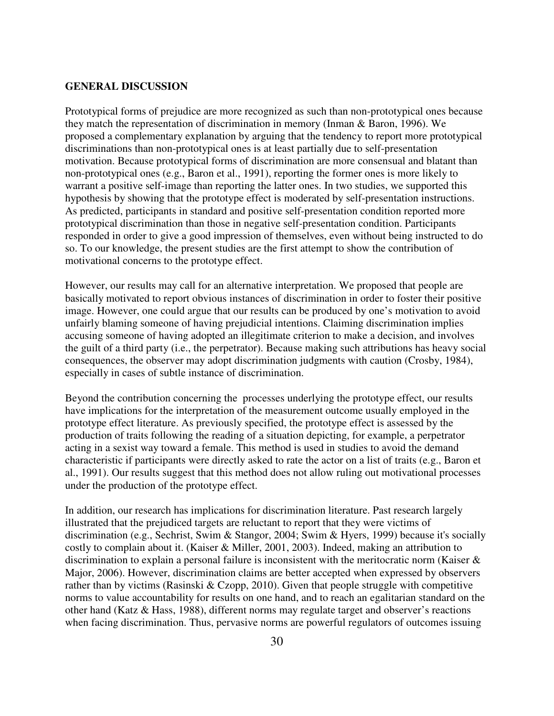### **GENERAL DISCUSSION**

Prototypical forms of prejudice are more recognized as such than non-prototypical ones because they match the representation of discrimination in memory (Inman & Baron, 1996). We proposed a complementary explanation by arguing that the tendency to report more prototypical discriminations than non-prototypical ones is at least partially due to self-presentation motivation. Because prototypical forms of discrimination are more consensual and blatant than non-prototypical ones (e.g., Baron et al., 1991), reporting the former ones is more likely to warrant a positive self-image than reporting the latter ones. In two studies, we supported this hypothesis by showing that the prototype effect is moderated by self-presentation instructions. As predicted, participants in standard and positive self-presentation condition reported more prototypical discrimination than those in negative self-presentation condition. Participants responded in order to give a good impression of themselves, even without being instructed to do so. To our knowledge, the present studies are the first attempt to show the contribution of motivational concerns to the prototype effect.

However, our results may call for an alternative interpretation. We proposed that people are basically motivated to report obvious instances of discrimination in order to foster their positive image. However, one could argue that our results can be produced by one's motivation to avoid unfairly blaming someone of having prejudicial intentions. Claiming discrimination implies accusing someone of having adopted an illegitimate criterion to make a decision, and involves the guilt of a third party (i.e., the perpetrator). Because making such attributions has heavy social consequences, the observer may adopt discrimination judgments with caution (Crosby, 1984), especially in cases of subtle instance of discrimination.

Beyond the contribution concerning the processes underlying the prototype effect, our results have implications for the interpretation of the measurement outcome usually employed in the prototype effect literature. As previously specified, the prototype effect is assessed by the production of traits following the reading of a situation depicting, for example, a perpetrator acting in a sexist way toward a female. This method is used in studies to avoid the demand characteristic if participants were directly asked to rate the actor on a list of traits (e.g., Baron et al., 1991). Our results suggest that this method does not allow ruling out motivational processes under the production of the prototype effect.

In addition, our research has implications for discrimination literature. Past research largely illustrated that the prejudiced targets are reluctant to report that they were victims of discrimination (e.g., Sechrist, Swim & Stangor, 2004; Swim & Hyers, 1999) because it's socially costly to complain about it. (Kaiser & Miller, 2001, 2003). Indeed, making an attribution to discrimination to explain a personal failure is inconsistent with the meritocratic norm (Kaiser & Major, 2006). However, discrimination claims are better accepted when expressed by observers rather than by victims (Rasinski & Czopp, 2010). Given that people struggle with competitive norms to value accountability for results on one hand, and to reach an egalitarian standard on the other hand (Katz & Hass, 1988), different norms may regulate target and observer's reactions when facing discrimination. Thus, pervasive norms are powerful regulators of outcomes issuing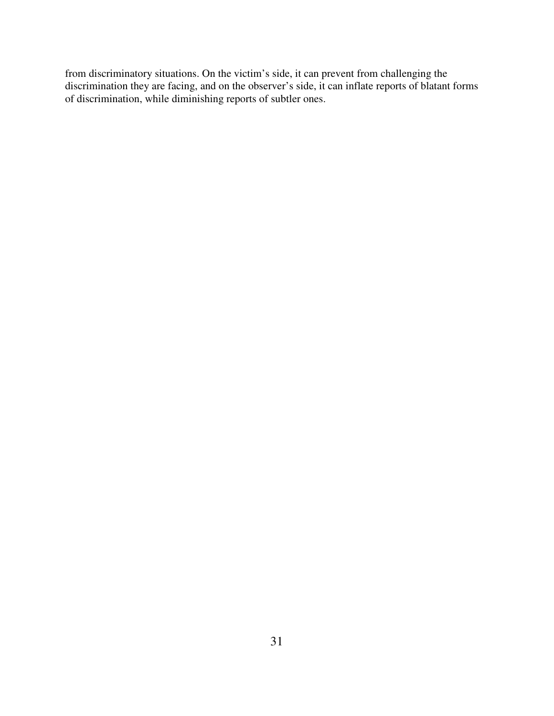from discriminatory situations. On the victim's side, it can prevent from challenging the discrimination they are facing, and on the observer's side, it can inflate reports of blatant forms of discrimination, while diminishing reports of subtler ones.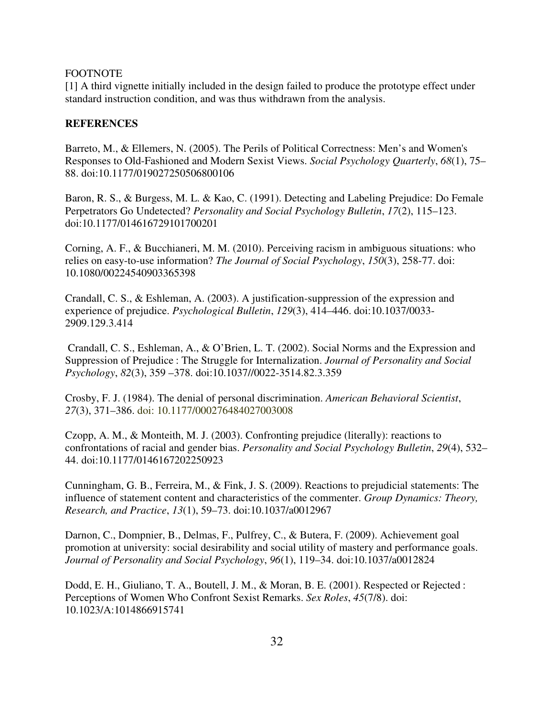# FOOTNOTE

[1] A third vignette initially included in the design failed to produce the prototype effect under standard instruction condition, and was thus withdrawn from the analysis.

# **REFERENCES**

Barreto, M., & Ellemers, N. (2005). The Perils of Political Correctness: Men's and Women's Responses to Old-Fashioned and Modern Sexist Views. *Social Psychology Quarterly*, *68*(1), 75– 88. doi:10.1177/019027250506800106

Baron, R. S., & Burgess, M. L. & Kao, C. (1991). Detecting and Labeling Prejudice: Do Female Perpetrators Go Undetected? *Personality and Social Psychology Bulletin*, *17*(2), 115–123. doi:10.1177/014616729101700201

Corning, A. F., & Bucchianeri, M. M. (2010). Perceiving racism in ambiguous situations: who relies on easy-to-use information? *The Journal of Social Psychology*, *150*(3), 258-77. doi: 10.1080/00224540903365398

Crandall, C. S., & Eshleman, A. (2003). A justification-suppression of the expression and experience of prejudice. *Psychological Bulletin*, *129*(3), 414–446. doi:10.1037/0033- 2909.129.3.414

 Crandall, C. S., Eshleman, A., & O'Brien, L. T. (2002). Social Norms and the Expression and Suppression of Prejudice : The Struggle for Internalization. *Journal of Personality and Social Psychology*, *82*(3), 359 –378. doi:10.1037//0022-3514.82.3.359

Crosby, F. J. (1984). The denial of personal discrimination. *American Behavioral Scientist*, *27*(3), 371–386. doi: 10.1177/000276484027003008

Czopp, A. M., & Monteith, M. J. (2003). Confronting prejudice (literally): reactions to confrontations of racial and gender bias. *Personality and Social Psychology Bulletin*, *29*(4), 532– 44. doi:10.1177/0146167202250923

Cunningham, G. B., Ferreira, M., & Fink, J. S. (2009). Reactions to prejudicial statements: The influence of statement content and characteristics of the commenter. *Group Dynamics: Theory, Research, and Practice*, *13*(1), 59–73. doi:10.1037/a0012967

Darnon, C., Dompnier, B., Delmas, F., Pulfrey, C., & Butera, F. (2009). Achievement goal promotion at university: social desirability and social utility of mastery and performance goals. *Journal of Personality and Social Psychology*, *96*(1), 119–34. doi:10.1037/a0012824

Dodd, E. H., Giuliano, T. A., Boutell, J. M., & Moran, B. E. (2001). Respected or Rejected : Perceptions of Women Who Confront Sexist Remarks. *Sex Roles*, *45*(7/8). doi: 10.1023/A:1014866915741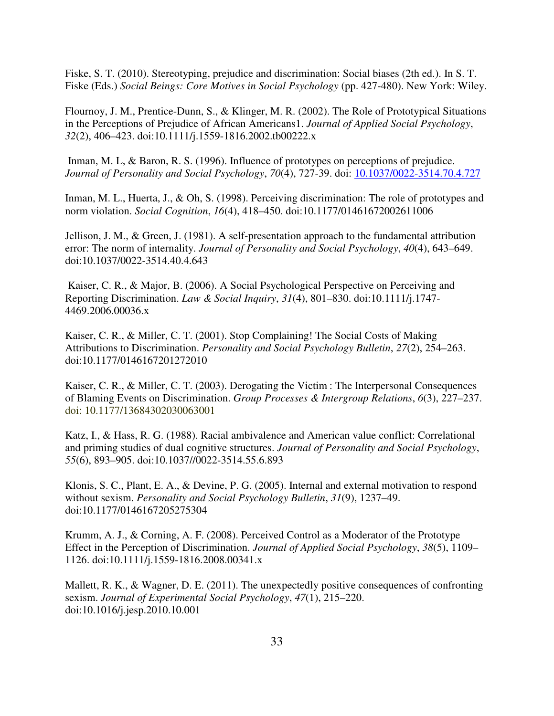Fiske, S. T. (2010). Stereotyping, prejudice and discrimination: Social biases (2th ed.). In S. T. Fiske (Eds.) *Social Beings: Core Motives in Social Psychology* (pp. 427-480). New York: Wiley.

Flournoy, J. M., Prentice-Dunn, S., & Klinger, M. R. (2002). The Role of Prototypical Situations in the Perceptions of Prejudice of African Americans1. *Journal of Applied Social Psychology*, *32*(2), 406–423. doi:10.1111/j.1559-1816.2002.tb00222.x

 Inman, M. L, & Baron, R. S. (1996). Influence of prototypes on perceptions of prejudice. *Journal of Personality and Social Psychology*, *70*(4), 727-39. doi: 10.1037/0022-3514.70.4.727

Inman, M. L., Huerta, J., & Oh, S. (1998). Perceiving discrimination: The role of prototypes and norm violation. *Social Cognition*, *16*(4), 418–450. doi:10.1177/01461672002611006

Jellison, J. M., & Green, J. (1981). A self-presentation approach to the fundamental attribution error: The norm of internality. *Journal of Personality and Social Psychology*, *40*(4), 643–649. doi:10.1037/0022-3514.40.4.643

 Kaiser, C. R., & Major, B. (2006). A Social Psychological Perspective on Perceiving and Reporting Discrimination. *Law & Social Inquiry*, *31*(4), 801–830. doi:10.1111/j.1747- 4469.2006.00036.x

Kaiser, C. R., & Miller, C. T. (2001). Stop Complaining! The Social Costs of Making Attributions to Discrimination. *Personality and Social Psychology Bulletin*, *27*(2), 254–263. doi:10.1177/0146167201272010

Kaiser, C. R., & Miller, C. T. (2003). Derogating the Victim : The Interpersonal Consequences of Blaming Events on Discrimination. *Group Processes & Intergroup Relations*, *6*(3), 227–237. doi: 10.1177/13684302030063001

Katz, I., & Hass, R. G. (1988). Racial ambivalence and American value conflict: Correlational and priming studies of dual cognitive structures. *Journal of Personality and Social Psychology*, *55*(6), 893–905. doi:10.1037//0022-3514.55.6.893

Klonis, S. C., Plant, E. A., & Devine, P. G. (2005). Internal and external motivation to respond without sexism. *Personality and Social Psychology Bulletin*, *31*(9), 1237–49. doi:10.1177/0146167205275304

Krumm, A. J., & Corning, A. F. (2008). Perceived Control as a Moderator of the Prototype Effect in the Perception of Discrimination. *Journal of Applied Social Psychology*, *38*(5), 1109– 1126. doi:10.1111/j.1559-1816.2008.00341.x

Mallett, R. K., & Wagner, D. E. (2011). The unexpectedly positive consequences of confronting sexism. *Journal of Experimental Social Psychology*, *47*(1), 215–220. doi:10.1016/j.jesp.2010.10.001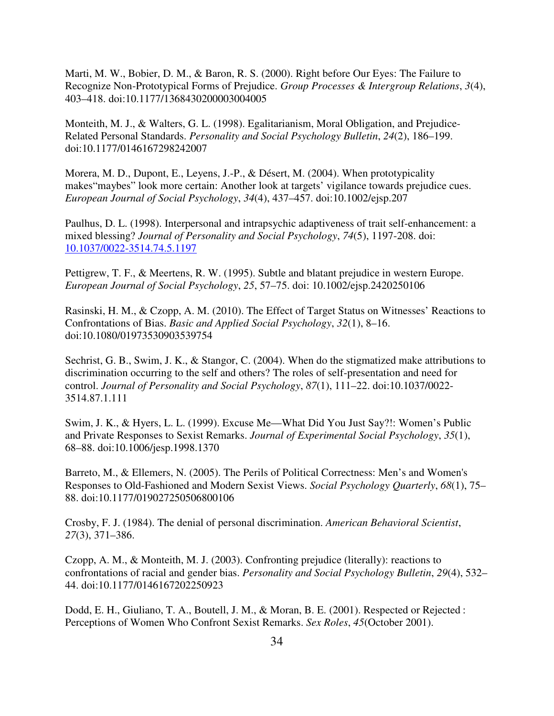Marti, M. W., Bobier, D. M., & Baron, R. S. (2000). Right before Our Eyes: The Failure to Recognize Non-Prototypical Forms of Prejudice. *Group Processes & Intergroup Relations*, *3*(4), 403–418. doi:10.1177/1368430200003004005

Monteith, M. J., & Walters, G. L. (1998). Egalitarianism, Moral Obligation, and Prejudice-Related Personal Standards. *Personality and Social Psychology Bulletin*, *24*(2), 186–199. doi:10.1177/0146167298242007

Morera, M. D., Dupont, E., Leyens, J.-P., & Désert, M. (2004). When prototypicality makes"maybes" look more certain: Another look at targets' vigilance towards prejudice cues. *European Journal of Social Psychology*, *34*(4), 437–457. doi:10.1002/ejsp.207

Paulhus, D. L. (1998). Interpersonal and intrapsychic adaptiveness of trait self-enhancement: a mixed blessing? *Journal of Personality and Social Psychology*, *74*(5), 1197-208. doi: 10.1037/0022-3514.74.5.1197

Pettigrew, T. F., & Meertens, R. W. (1995). Subtle and blatant prejudice in western Europe. *European Journal of Social Psychology*, *25*, 57–75. doi: 10.1002/ejsp.2420250106

Rasinski, H. M., & Czopp, A. M. (2010). The Effect of Target Status on Witnesses' Reactions to Confrontations of Bias. *Basic and Applied Social Psychology*, *32*(1), 8–16. doi:10.1080/01973530903539754

Sechrist, G. B., Swim, J. K., & Stangor, C. (2004). When do the stigmatized make attributions to discrimination occurring to the self and others? The roles of self-presentation and need for control. *Journal of Personality and Social Psychology*, *87*(1), 111–22. doi:10.1037/0022- 3514.87.1.111

Swim, J. K., & Hyers, L. L. (1999). Excuse Me—What Did You Just Say?!: Women's Public and Private Responses to Sexist Remarks. *Journal of Experimental Social Psychology*, *35*(1), 68–88. doi:10.1006/jesp.1998.1370

Barreto, M., & Ellemers, N. (2005). The Perils of Political Correctness: Men's and Women's Responses to Old-Fashioned and Modern Sexist Views. *Social Psychology Quarterly*, *68*(1), 75– 88. doi:10.1177/019027250506800106

Crosby, F. J. (1984). The denial of personal discrimination. *American Behavioral Scientist*, *27*(3), 371–386.

Czopp, A. M., & Monteith, M. J. (2003). Confronting prejudice (literally): reactions to confrontations of racial and gender bias. *Personality and Social Psychology Bulletin*, *29*(4), 532– 44. doi:10.1177/0146167202250923

Dodd, E. H., Giuliano, T. A., Boutell, J. M., & Moran, B. E. (2001). Respected or Rejected : Perceptions of Women Who Confront Sexist Remarks. *Sex Roles*, *45*(October 2001).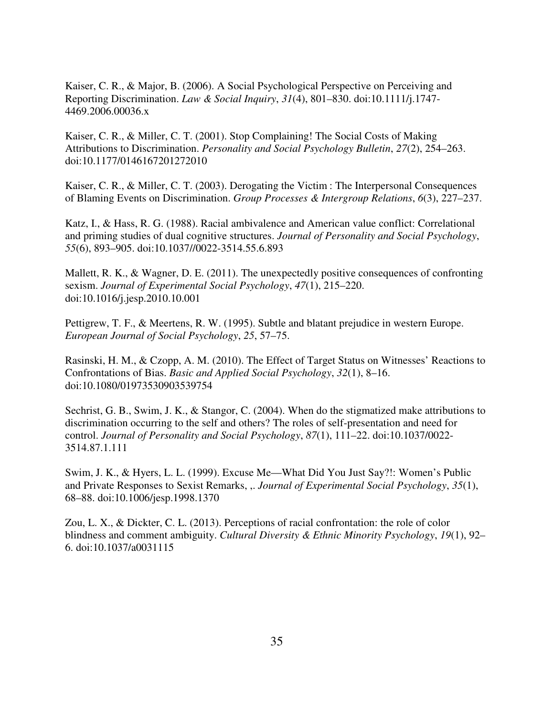Kaiser, C. R., & Major, B. (2006). A Social Psychological Perspective on Perceiving and Reporting Discrimination. *Law & Social Inquiry*, *31*(4), 801–830. doi:10.1111/j.1747- 4469.2006.00036.x

Kaiser, C. R., & Miller, C. T. (2001). Stop Complaining! The Social Costs of Making Attributions to Discrimination. *Personality and Social Psychology Bulletin*, *27*(2), 254–263. doi:10.1177/0146167201272010

Kaiser, C. R., & Miller, C. T. (2003). Derogating the Victim : The Interpersonal Consequences of Blaming Events on Discrimination. *Group Processes & Intergroup Relations*, *6*(3), 227–237.

Katz, I., & Hass, R. G. (1988). Racial ambivalence and American value conflict: Correlational and priming studies of dual cognitive structures. *Journal of Personality and Social Psychology*, *55*(6), 893–905. doi:10.1037//0022-3514.55.6.893

Mallett, R. K., & Wagner, D. E. (2011). The unexpectedly positive consequences of confronting sexism. *Journal of Experimental Social Psychology*, *47*(1), 215–220. doi:10.1016/j.jesp.2010.10.001

Pettigrew, T. F., & Meertens, R. W. (1995). Subtle and blatant prejudice in western Europe. *European Journal of Social Psychology*, *25*, 57–75.

Rasinski, H. M., & Czopp, A. M. (2010). The Effect of Target Status on Witnesses' Reactions to Confrontations of Bias. *Basic and Applied Social Psychology*, *32*(1), 8–16. doi:10.1080/01973530903539754

Sechrist, G. B., Swim, J. K., & Stangor, C. (2004). When do the stigmatized make attributions to discrimination occurring to the self and others? The roles of self-presentation and need for control. *Journal of Personality and Social Psychology*, *87*(1), 111–22. doi:10.1037/0022- 3514.87.1.111

Swim, J. K., & Hyers, L. L. (1999). Excuse Me—What Did You Just Say?!: Women's Public and Private Responses to Sexist Remarks, ,. *Journal of Experimental Social Psychology*, *35*(1), 68–88. doi:10.1006/jesp.1998.1370

Zou, L. X., & Dickter, C. L. (2013). Perceptions of racial confrontation: the role of color blindness and comment ambiguity. *Cultural Diversity & Ethnic Minority Psychology*, *19*(1), 92– 6. doi:10.1037/a0031115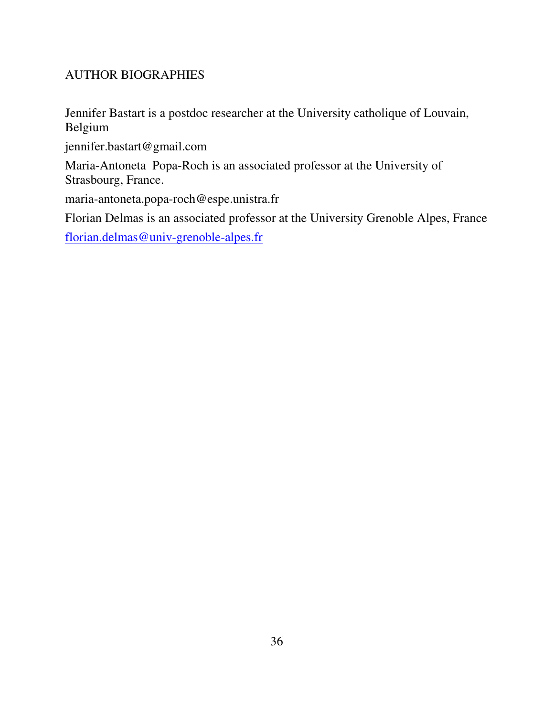# AUTHOR BIOGRAPHIES

Jennifer Bastart is a postdoc researcher at the University catholique of Louvain, Belgium

jennifer.bastart@gmail.com

Maria-Antoneta Popa-Roch is an associated professor at the University of Strasbourg, France.

maria-antoneta.popa-roch@espe.unistra.fr

Florian Delmas is an associated professor at the University Grenoble Alpes, France

florian.delmas@univ-grenoble-alpes.fr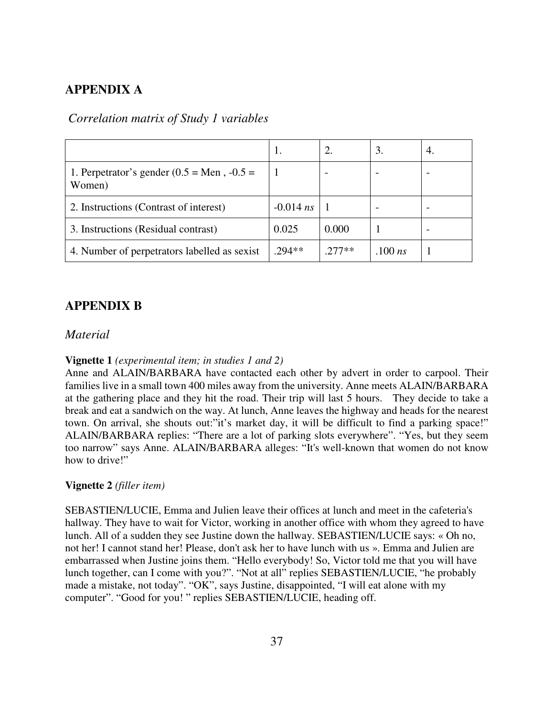# **APPENDIX A**

# *Correlation matrix of Study 1 variables*

|                                                                | 1.          | 2.       | 3.        | 4. |
|----------------------------------------------------------------|-------------|----------|-----------|----|
| 1. Perpetrator's gender $(0.5 = \text{Men} , -0.5 =$<br>Women) |             |          |           |    |
| 2. Instructions (Contrast of interest)                         | $-0.014$ ns |          |           |    |
| 3. Instructions (Residual contrast)                            | 0.025       | 0.000    |           |    |
| 4. Number of perpetrators labelled as sexist                   | $294**$     | $.277**$ | .100 $ns$ |    |

# **APPENDIX B**

# *Material*

# **Vignette 1** *(experimental item; in studies 1 and 2)*

Anne and ALAIN/BARBARA have contacted each other by advert in order to carpool. Their families live in a small town 400 miles away from the university. Anne meets ALAIN/BARBARA at the gathering place and they hit the road. Their trip will last 5 hours. They decide to take a break and eat a sandwich on the way. At lunch, Anne leaves the highway and heads for the nearest town. On arrival, she shouts out:"it's market day, it will be difficult to find a parking space!" ALAIN/BARBARA replies: "There are a lot of parking slots everywhere". "Yes, but they seem too narrow" says Anne. ALAIN/BARBARA alleges: "It's well-known that women do not know how to drive!"

### **Vignette 2** *(filler item)*

SEBASTIEN/LUCIE, Emma and Julien leave their offices at lunch and meet in the cafeteria's hallway. They have to wait for Victor, working in another office with whom they agreed to have lunch. All of a sudden they see Justine down the hallway. SEBASTIEN/LUCIE says: « Oh no, not her! I cannot stand her! Please, don't ask her to have lunch with us ». Emma and Julien are embarrassed when Justine joins them. "Hello everybody! So, Victor told me that you will have lunch together, can I come with you?". "Not at all" replies SEBASTIEN/LUCIE, "he probably made a mistake, not today". "OK", says Justine, disappointed, "I will eat alone with my computer". "Good for you! " replies SEBASTIEN/LUCIE, heading off.